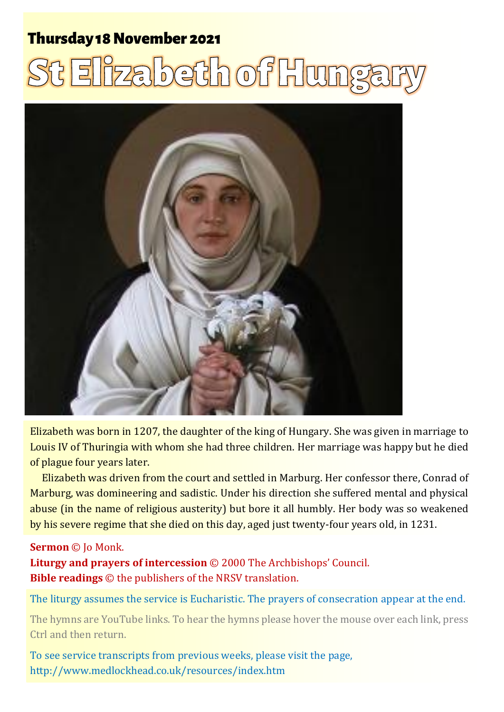### **Thursday 18 November 2021**

# <u>t Elizabeth of Hunga</u>



Elizabeth was born in 1207, the daughter of the king of Hungary. She was given in marriage to Louis IV of Thuringia with whom she had three children. Her marriage was happy but he died of plague four years later.

Elizabeth was driven from the court and settled in Marburg. Her confessor there, Conrad of Marburg, was domineering and sadistic. Under his direction she suffered mental and physical abuse (in the name of religious austerity) but bore it all humbly. Her body was so weakened by his severe regime that she died on this day, aged just twenty-four years old, in 1231.

#### **Sermon** © Jo Monk.

**Liturgy and prayers of intercession** © 2000 The Archbishops' Council. **Bible readings** © the publishers of the NRSV translation.

The liturgy assumes the service is Eucharistic. The prayers of consecration appear at the end.

The hymns are YouTube links. To hear the hymns please hover the mouse over each link, press Ctrl and then return.

To see service transcripts from previous weeks, please visit the page, <http://www.medlockhead.co.uk/resources/index.htm>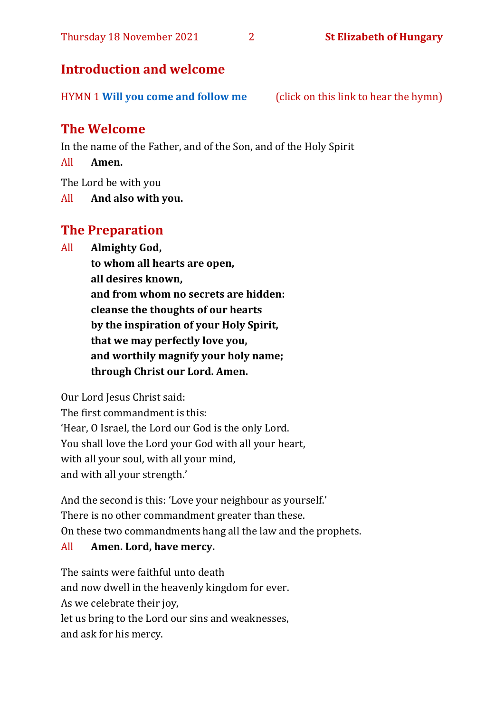#### **Introduction and welcome**

HYMN 1 **[Will you come and follow me](https://youtu.be/eAYM8pWCwWk)** (click on this link to hear the hymn)

#### **The Welcome**

In the name of the Father, and of the Son, and of the Holy Spirit

All **Amen.**

The Lord be with you

All **And also with you.**

#### **The Preparation**

All **Almighty God,**

**to whom all hearts are open, all desires known, and from whom no secrets are hidden: cleanse the thoughts of our hearts by the inspiration of your Holy Spirit, that we may perfectly love you, and worthily magnify your holy name; through Christ our Lord. Amen.**

Our Lord Jesus Christ said:

The first commandment is this: 'Hear, O Israel, the Lord our God is the only Lord. You shall love the Lord your God with all your heart, with all your soul, with all your mind, and with all your strength.'

And the second is this: 'Love your neighbour as yourself.' There is no other commandment greater than these. On these two commandments hang all the law and the prophets.

#### All **Amen. Lord, have mercy.**

The saints were faithful unto death and now dwell in the heavenly kingdom for ever. As we celebrate their joy, let us bring to the Lord our sins and weaknesses, and ask for his mercy.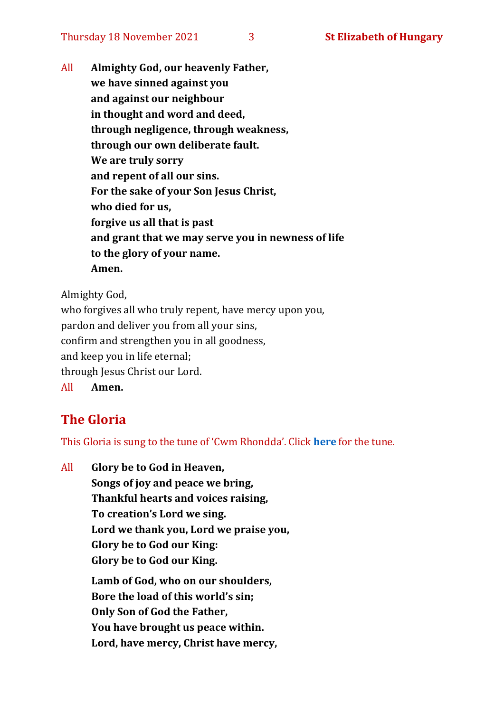All **Almighty God, our heavenly Father, we have sinned against you and against our neighbour in thought and word and deed, through negligence, through weakness, through our own deliberate fault. We are truly sorry and repent of all our sins. For the sake of your Son Jesus Christ, who died for us, forgive us all that is past and grant that we may serve you in newness of life to the glory of your name. Amen.**

Almighty God,

who forgives all who truly repent, have mercy upon you, pardon and deliver you from all your sins, confirm and strengthen you in all goodness, and keep you in life eternal; through Jesus Christ our Lord. All **Amen.**

#### **The Gloria**

This Gloria is sung to the tune of 'Cwm Rhondda'. Click **[here](https://www.youtube.com/watch?v=l71MLQ22dIk)** for the tune.

All **Glory be to God in Heaven, Songs of joy and peace we bring, Thankful hearts and voices raising, To creation's Lord we sing. Lord we thank you, Lord we praise you, Glory be to God our King: Glory be to God our King. Lamb of God, who on our shoulders, Bore the load of this world's sin; Only Son of God the Father, You have brought us peace within. Lord, have mercy, Christ have mercy,**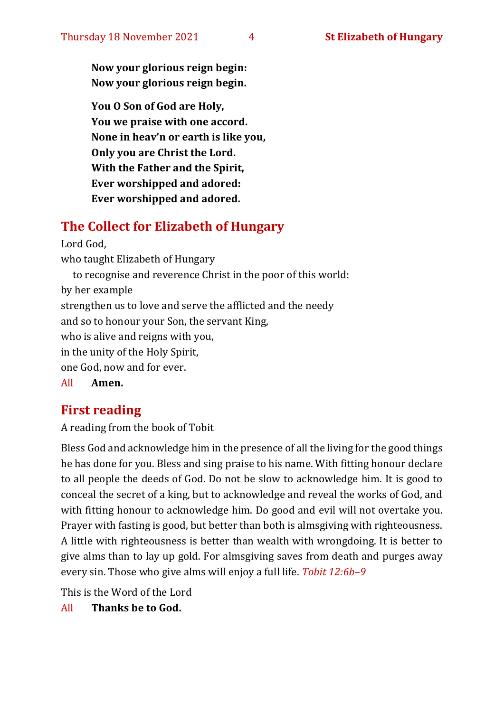**Now your glorious reign begin: Now your glorious reign begin.**

**You O Son of God are Holy, You we praise with one accord. None in heav'n or earth is like you, Only you are Christ the Lord. With the Father and the Spirit, Ever worshipped and adored: Ever worshipped and adored.**

#### **The Collect for Elizabeth of Hungary**

Lord God, who taught Elizabeth of Hungary to recognise and reverence Christ in the poor of this world: by her example strengthen us to love and serve the afflicted and the needy and so to honour your Son, the servant King, who is alive and reigns with you, in the unity of the Holy Spirit, one God, now and for ever.

All **Amen.**

#### **First reading**

A reading from the book of Tobit

Bless God and acknowledge him in the presence of all the living for the good things he has done for you. Bless and sing praise to his name. With fitting honour declare to all people the deeds of God. Do not be slow to acknowledge him. It is good to conceal the secret of a king, but to acknowledge and reveal the works of God, and with fitting honour to acknowledge him. Do good and evil will not overtake you. Prayer with fasting is good, but better than both is almsgiving with righteousness. A little with righteousness is better than wealth with wrongdoing. It is better to give alms than to lay up gold. For almsgiving saves from death and purges away every sin. Those who give alms will enjoy a full life. *Tobit 12:6b–9*

This is the Word of the Lord

All **Thanks be to God.**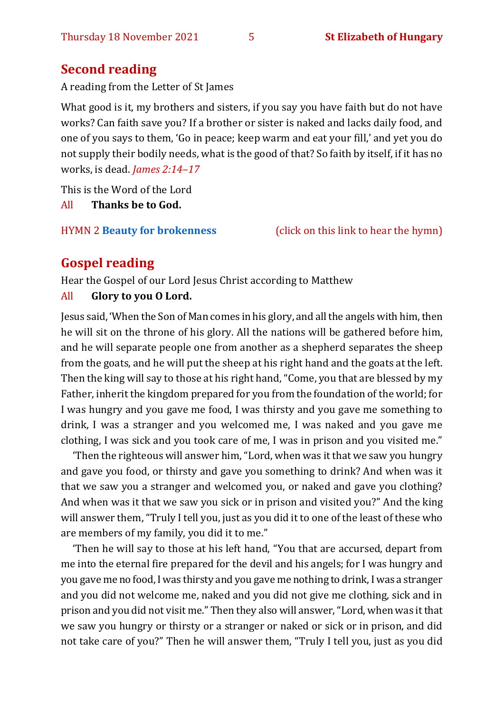### **Second reading**

A reading from the Letter of St James

What good is it, my brothers and sisters, if you say you have faith but do not have works? Can faith save you? If a brother or sister is naked and lacks daily food, and one of you says to them, 'Go in peace; keep warm and eat your fill,' and yet you do not supply their bodily needs, what is the good of that? So faith by itself, if it has no works, is dead. *James 2:14–17*

This is the Word of the Lord All **Thanks be to God.**

HYMN 2 **[Beauty for brokenness](https://youtu.be/3kVHKuldZyw)** (click on this link to hear the hymn)

### **Gospel reading**

Hear the Gospel of our Lord Jesus Christ according to Matthew All **Glory to you O Lord.**

Jesus said, 'When the Son of Man comes in his glory, and all the angels with him, then he will sit on the throne of his glory. All the nations will be gathered before him, and he will separate people one from another as a shepherd separates the sheep from the goats, and he will put the sheep at his right hand and the goats at the left. Then the king will say to those at his right hand, "Come, you that are blessed by my Father, inherit the kingdom prepared for you from the foundation of the world; for I was hungry and you gave me food, I was thirsty and you gave me something to drink, I was a stranger and you welcomed me, I was naked and you gave me clothing, I was sick and you took care of me, I was in prison and you visited me."

'Then the righteous will answer him, "Lord, when was it that we saw you hungry and gave you food, or thirsty and gave you something to drink? And when was it that we saw you a stranger and welcomed you, or naked and gave you clothing? And when was it that we saw you sick or in prison and visited you?" And the king will answer them, "Truly I tell you, just as you did it to one of the least of these who are members of my family, you did it to me."

'Then he will say to those at his left hand, "You that are accursed, depart from me into the eternal fire prepared for the devil and his angels; for I was hungry and you gave me no food, I was thirsty and you gave me nothing to drink, I was a stranger and you did not welcome me, naked and you did not give me clothing, sick and in prison and you did not visit me." Then they also will answer, "Lord, when was it that we saw you hungry or thirsty or a stranger or naked or sick or in prison, and did not take care of you?" Then he will answer them, "Truly I tell you, just as you did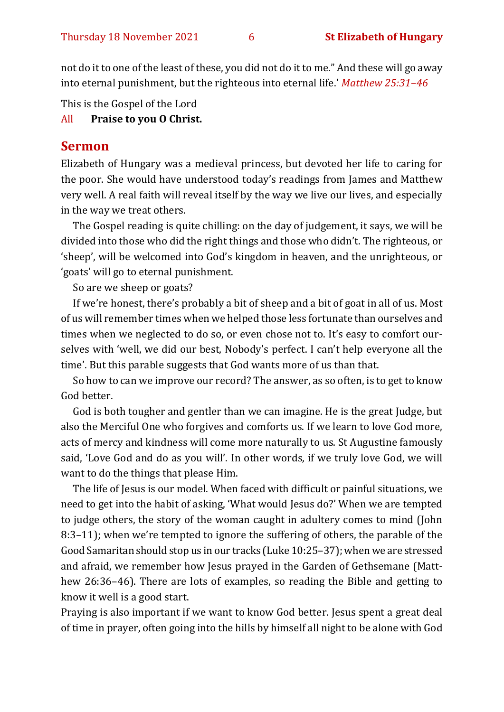not do it to one of the least of these, you did not do it to me." And these will go away into eternal punishment, but the righteous into eternal life.' *Matthew 25:31–46*

This is the Gospel of the Lord

All **Praise to you O Christ.** 

#### **Sermon**

Elizabeth of Hungary was a medieval princess, but devoted her life to caring for the poor. She would have understood today's readings from James and Matthew very well. A real faith will reveal itself by the way we live our lives, and especially in the way we treat others.

The Gospel reading is quite chilling: on the day of judgement, it says, we will be divided into those who did the right things and those who didn't. The righteous, or 'sheep', will be welcomed into God's kingdom in heaven, and the unrighteous, or 'goats' will go to eternal punishment.

So are we sheep or goats?

If we're honest, there's probably a bit of sheep and a bit of goat in all of us. Most of us will remember times when we helped those less fortunate than ourselves and times when we neglected to do so, or even chose not to. It's easy to comfort ourselves with 'well, we did our best, Nobody's perfect. I can't help everyone all the time'. But this parable suggests that God wants more of us than that.

So how to can we improve our record? The answer, as so often, is to get to know God better.

God is both tougher and gentler than we can imagine. He is the great Judge, but also the Merciful One who forgives and comforts us. If we learn to love God more, acts of mercy and kindness will come more naturally to us. St Augustine famously said, 'Love God and do as you will'. In other words, if we truly love God, we will want to do the things that please Him.

The life of Jesus is our model. When faced with difficult or painful situations, we need to get into the habit of asking, 'What would Jesus do?' When we are tempted to judge others, the story of the woman caught in adultery comes to mind (John 8:3–11); when we're tempted to ignore the suffering of others, the parable of the Good Samaritan should stop us in our tracks (Luke 10:25–37); when we are stressed and afraid, we remember how Jesus prayed in the Garden of Gethsemane (Matthew 26:36–46). There are lots of examples, so reading the Bible and getting to know it well is a good start.

Praying is also important if we want to know God better. Jesus spent a great deal of time in prayer, often going into the hills by himself all night to be alone with God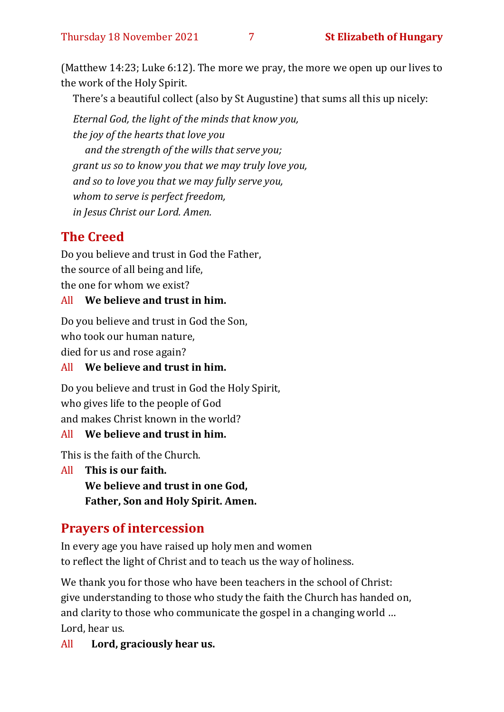(Matthew 14:23; Luke 6:12). The more we pray, the more we open up our lives to the work of the Holy Spirit.

There's a beautiful collect (also by St Augustine) that sums all this up nicely:

*Eternal God, the light of the minds that know you, the joy of the hearts that love you and the strength of the wills that serve you; grant us so to know you that we may truly love you, and so to love you that we may fully serve you, whom to serve is perfect freedom, in Jesus Christ our Lord. Amen.*

### **The Creed**

Do you believe and trust in God the Father, the source of all being and life, the one for whom we exist?

#### All **We believe and trust in him.**

Do you believe and trust in God the Son, who took our human nature,

died for us and rose again?

#### All **We believe and trust in him.**

Do you believe and trust in God the Holy Spirit, who gives life to the people of God and makes Christ known in the world?

#### All **We believe and trust in him.**

This is the faith of the Church.

All **This is our faith. We believe and trust in one God, Father, Son and Holy Spirit. Amen.**

#### **Prayers of intercession**

In every age you have raised up holy men and women to reflect the light of Christ and to teach us the way of holiness.

We thank you for those who have been teachers in the school of Christ: give understanding to those who study the faith the Church has handed on, and clarity to those who communicate the gospel in a changing world … Lord, hear us.

All **Lord, graciously hear us.**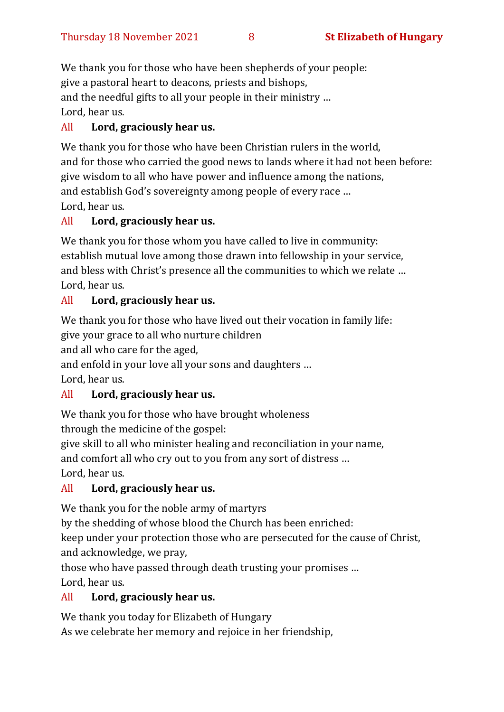We thank you for those who have been shepherds of your people: give a pastoral heart to deacons, priests and bishops, and the needful gifts to all your people in their ministry … Lord, hear us.

#### All **Lord, graciously hear us.**

We thank you for those who have been Christian rulers in the world. and for those who carried the good news to lands where it had not been before: give wisdom to all who have power and influence among the nations, and establish God's sovereignty among people of every race … Lord, hear us.

#### All **Lord, graciously hear us.**

We thank you for those whom you have called to live in community: establish mutual love among those drawn into fellowship in your service, and bless with Christ's presence all the communities to which we relate … Lord, hear us.

#### All **Lord, graciously hear us.**

We thank you for those who have lived out their vocation in family life:

give your grace to all who nurture children

and all who care for the aged,

and enfold in your love all your sons and daughters …

Lord, hear us.

#### All **Lord, graciously hear us.**

We thank you for those who have brought wholeness through the medicine of the gospel:

give skill to all who minister healing and reconciliation in your name,

and comfort all who cry out to you from any sort of distress …

Lord, hear us.

#### All **Lord, graciously hear us.**

We thank you for the noble army of martyrs

by the shedding of whose blood the Church has been enriched:

keep under your protection those who are persecuted for the cause of Christ, and acknowledge, we pray,

those who have passed through death trusting your promises … Lord, hear us.

#### All **Lord, graciously hear us.**

We thank you today for Elizabeth of Hungary

As we celebrate her memory and rejoice in her friendship,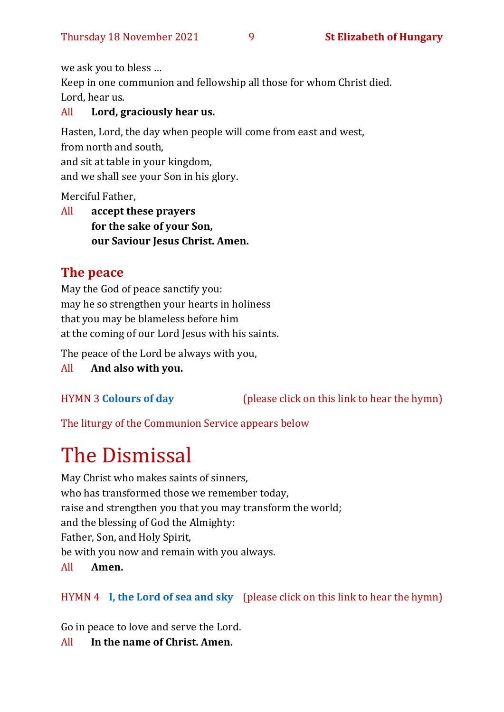we ask you to bless …

Keep in one communion and fellowship all those for whom Christ died. Lord, hear us.

#### All **Lord, graciously hear us.**

Hasten, Lord, the day when people will come from east and west, from north and south, and sit at table in your kingdom,

and we shall see your Son in his glory.

Merciful Father,

All **accept these prayers for the sake of your Son, our Saviour Jesus Christ. Amen.**

#### **The peace**

May the God of peace sanctify you: may he so strengthen your hearts in holiness that you may be blameless before him at the coming of our Lord Jesus with his saints.

The peace of the Lord be always with you,

All **And also with you.**

HYMN 3 **[Colours of day](https://youtu.be/d4_gLm4s0x8)** (please click on this link to hear the hymn)

The liturgy of the Communion Service appears below

# The Dismissal

May Christ who makes saints of sinners, who has transformed those we remember today, raise and strengthen you that you may transform the world; and the blessing of God the Almighty: Father, Son, and Holy Spirit, be with you now and remain with you always. All **Amen.**

#### HYMN 4 **[I, the Lord of sea and sky](https://youtu.be/eZOZbztI_7w)** (please click on this link to hear the hymn)

Go in peace to love and serve the Lord.

All **In the name of Christ. Amen.**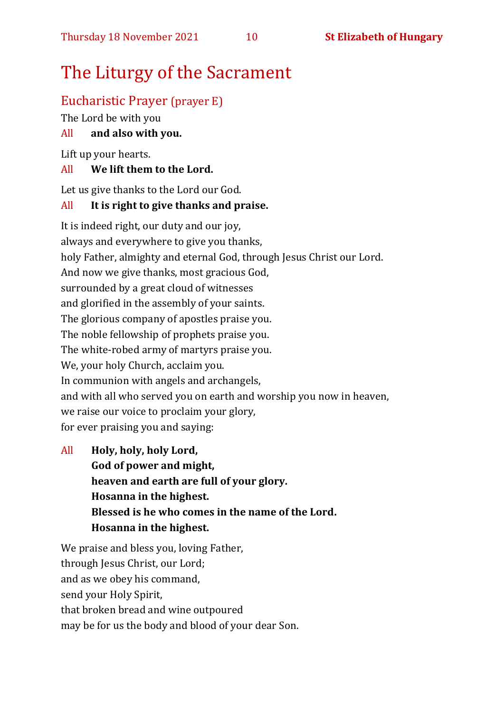## The Liturgy of the Sacrament

#### Eucharistic Prayer (prayer E)

The Lord be with you

#### All **and also with you.**

Lift up your hearts.

#### All **We lift them to the Lord.**

Let us give thanks to the Lord our God.

#### All **It is right to give thanks and praise.**

It is indeed right, our duty and our joy, always and everywhere to give you thanks, holy Father, almighty and eternal God, through Jesus Christ our Lord. And now we give thanks, most gracious God, surrounded by a great cloud of witnesses and glorified in the assembly of your saints. The glorious company of apostles praise you. The noble fellowship of prophets praise you. The white-robed army of martyrs praise you. We, your holy Church, acclaim you. In communion with angels and archangels, and with all who served you on earth and worship you now in heaven, we raise our voice to proclaim your glory, for ever praising you and saying:

All **Holy, holy, holy Lord, God of power and might, heaven and earth are full of your glory. Hosanna in the highest. Blessed is he who comes in the name of the Lord. Hosanna in the highest.**

We praise and bless you, loving Father, through Jesus Christ, our Lord; and as we obey his command, send your Holy Spirit, that broken bread and wine outpoured may be for us the body and blood of your dear Son.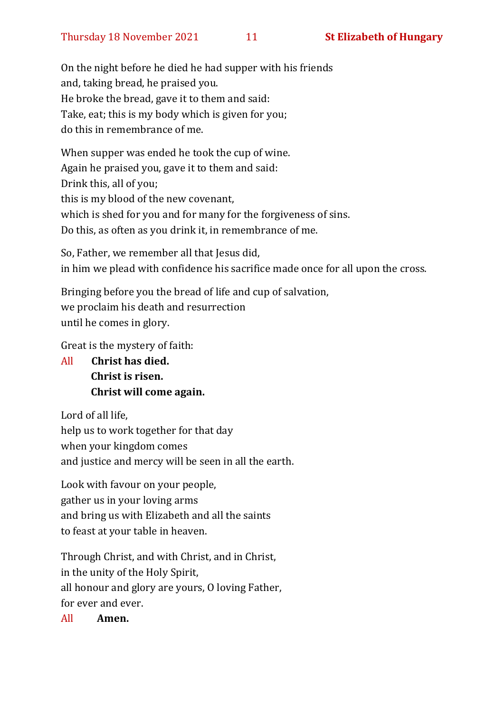On the night before he died he had supper with his friends and, taking bread, he praised you. He broke the bread, gave it to them and said: Take, eat; this is my body which is given for you; do this in remembrance of me.

When supper was ended he took the cup of wine. Again he praised you, gave it to them and said: Drink this, all of you; this is my blood of the new covenant, which is shed for you and for many for the forgiveness of sins. Do this, as often as you drink it, in remembrance of me.

So, Father, we remember all that Jesus did, in him we plead with confidence his sacrifice made once for all upon the cross.

Bringing before you the bread of life and cup of salvation, we proclaim his death and resurrection until he comes in glory.

Great is the mystery of faith:

All **Christ has died. Christ is risen. Christ will come again.**

Lord of all life, help us to work together for that day when your kingdom comes and justice and mercy will be seen in all the earth.

Look with favour on your people, gather us in your loving arms and bring us with Elizabeth and all the saints to feast at your table in heaven.

Through Christ, and with Christ, and in Christ, in the unity of the Holy Spirit, all honour and glory are yours, O loving Father, for ever and ever.

All **Amen.**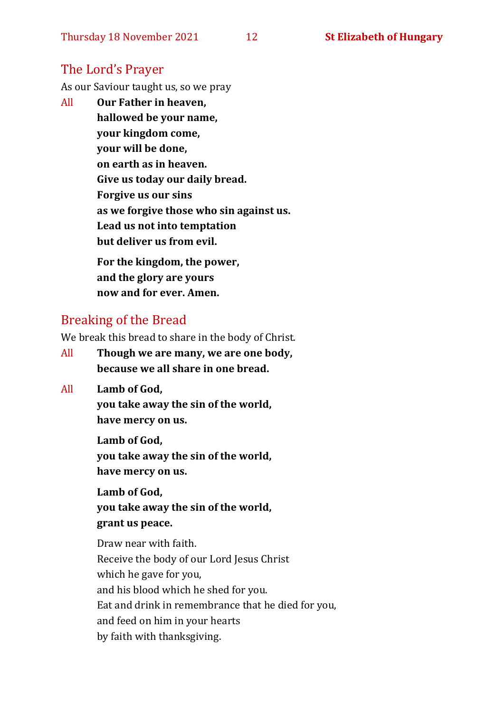#### The Lord's Prayer

As our Saviour taught us, so we pray

All **Our Father in heaven, hallowed be your name, your kingdom come, your will be done, on earth as in heaven. Give us today our daily bread. Forgive us our sins as we forgive those who sin against us. Lead us not into temptation but deliver us from evil. For the kingdom, the power,** 

**and the glory are yours now and for ever. Amen.**

#### Breaking of the Bread

We break this bread to share in the body of Christ.

- All **Though we are many, we are one body, because we all share in one bread.**
- All **Lamb of God,**

**you take away the sin of the world, have mercy on us.**

**Lamb of God, you take away the sin of the world, have mercy on us.**

**Lamb of God, you take away the sin of the world, grant us peace.**

Draw near with faith. Receive the body of our Lord Jesus Christ which he gave for you, and his blood which he shed for you. Eat and drink in remembrance that he died for you, and feed on him in your hearts by faith with thanksgiving.